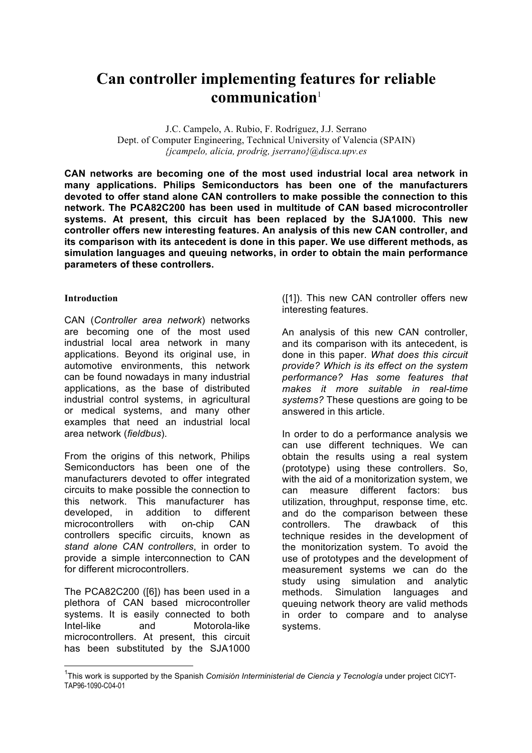# **Can controller implementing features for reliable communication**<sup>1</sup>

J.C. Campelo, A. Rubio, F. Rodríguez, J.J. Serrano Dept. of Computer Engineering, Technical University of Valencia (SPAIN) *{jcampelo, alicia, prodrig, jserrano}@disca.upv.es*

**CAN networks are becoming one of the most used industrial local area network in many applications. Philips Semiconductors has been one of the manufacturers devoted to offer stand alone CAN controllers to make possible the connection to this network. The PCA82C200 has been used in multitude of CAN based microcontroller systems. At present, this circuit has been replaced by the SJA1000. This new controller offers new interesting features. An analysis of this new CAN controller, and its comparison with its antecedent is done in this paper. We use different methods, as simulation languages and queuing networks, in order to obtain the main performance parameters of these controllers.**

### **Introduction**

CAN (*Controller area network*) networks are becoming one of the most used industrial local area network in many applications. Beyond its original use, in automotive environments, this network can be found nowadays in many industrial applications, as the base of distributed industrial control systems, in agricultural or medical systems, and many other examples that need an industrial local area network (*fieldbus*).

From the origins of this network, Philips Semiconductors has been one of the manufacturers devoted to offer integrated circuits to make possible the connection to this network. This manufacturer has developed, in addition to different microcontrollers with on-chip CAN controllers specific circuits, known as *stand alone CAN controllers*, in order to provide a simple interconnection to CAN for different microcontrollers.

The PCA82C200 ([6]) has been used in a plethora of CAN based microcontroller systems. It is easily connected to both Intel-like and Motorola-like microcontrollers. At present, this circuit has been substituted by the SJA1000 ([1]). This new CAN controller offers new interesting features.

An analysis of this new CAN controller, and its comparison with its antecedent, is done in this paper. *What does this circuit provide? Which is its effect on the system performance? Has some features that makes it more suitable in real-time systems?* These questions are going to be answered in this article.

In order to do a performance analysis we can use different techniques. We can obtain the results using a real system (prototype) using these controllers. So, with the aid of a monitorization system, we can measure different factors: bus utilization, throughput, response time, etc. and do the comparison between these controllers. The drawback of this technique resides in the development of the monitorization system. To avoid the use of prototypes and the development of measurement systems we can do the study using simulation and analytic methods. Simulation languages and queuing network theory are valid methods in order to compare and to analyse systems.

 <sup>1</sup> This work is supported by the Spanish *Comisión Interministerial de Ciencia y Tecnología* under project CICYT-TAP96-1090-C04-01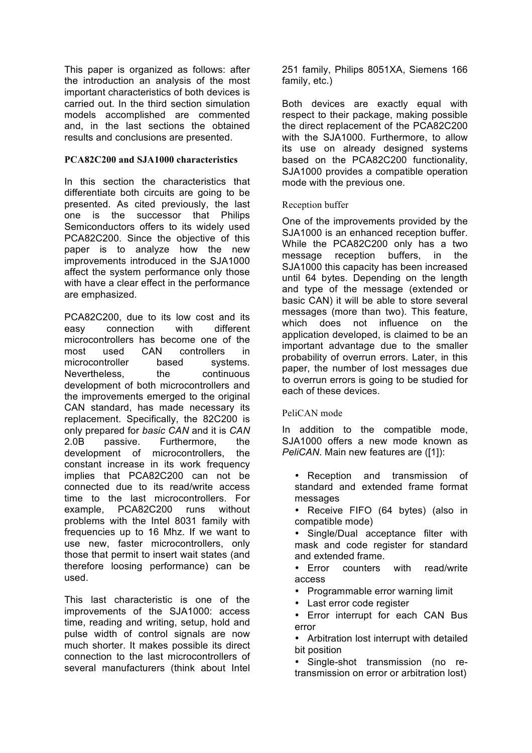This paper is organized as follows: after the introduction an analysis of the most important characteristics of both devices is carried out. In the third section simulation models accomplished are commented and, in the last sections the obtained results and conclusions are presented.

## **PCA82C200 and SJA1000 characteristics**

In this section the characteristics that differentiate both circuits are going to be presented. As cited previously, the last one is the successor that Philips Semiconductors offers to its widely used PCA82C200. Since the objective of this paper is to analyze how the new improvements introduced in the SJA1000 affect the system performance only those with have a clear effect in the performance are emphasized.

PCA82C200, due to its low cost and its easy connection with different microcontrollers has become one of the most used CAN controllers in microcontroller based systems. Nevertheless, the continuous development of both microcontrollers and the improvements emerged to the original CAN standard, has made necessary its replacement. Specifically, the 82C200 is only prepared for *basic CAN* and it is *CAN*  2.0B passive. Furthermore, the development of microcontrollers, the constant increase in its work frequency implies that PCA82C200 can not be connected due to its read/write access time to the last microcontrollers. For example, PCA82C200 runs without problems with the Intel 8031 family with frequencies up to 16 Mhz. If we want to use new, faster microcontrollers, only those that permit to insert wait states (and therefore loosing performance) can be used.

This last characteristic is one of the improvements of the SJA1000: access time, reading and writing, setup, hold and pulse width of control signals are now much shorter. It makes possible its direct connection to the last microcontrollers of several manufacturers (think about Intel 251 family, Philips 8051XA, Siemens 166 family, etc.)

Both devices are exactly equal with respect to their package, making possible the direct replacement of the PCA82C200 with the SJA1000. Furthermore, to allow its use on already designed systems based on the PCA82C200 functionality, SJA1000 provides a compatible operation mode with the previous one.

# Reception buffer

One of the improvements provided by the SJA1000 is an enhanced reception buffer. While the PCA82C200 only has a two message reception buffers, in the SJA1000 this capacity has been increased until 64 bytes. Depending on the length and type of the message (extended or basic CAN) it will be able to store several messages (more than two). This feature, which does not influence on the application developed, is claimed to be an important advantage due to the smaller probability of overrun errors. Later, in this paper, the number of lost messages due to overrun errors is going to be studied for each of these devices.

# PeliCAN mode

In addition to the compatible mode, SJA1000 offers a new mode known as *PeliCAN*. Main new features are ([1]):

- Reception and transmission of standard and extended frame format messages
- Receive FIFO (64 bytes) (also in compatible mode)
- Single/Dual acceptance filter with mask and code register for standard and extended frame.

• Error counters with read/write access

- Programmable error warning limit
- Last error code register

• Error interrupt for each CAN Bus error

• Arbitration lost interrupt with detailed bit position

• Single-shot transmission (no retransmission on error or arbitration lost)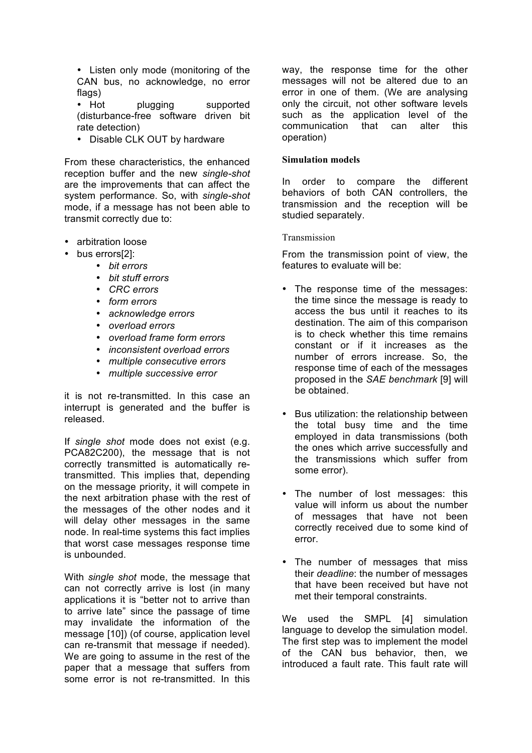• Listen only mode (monitoring of the CAN bus, no acknowledge, no error flags)

• Hot **plugging** supported (disturbance-free software driven bit rate detection)

• Disable CLK OUT by hardware

From these characteristics, the enhanced reception buffer and the new *single-shot* are the improvements that can affect the system performance. So, with *single-shot* mode, if a message has not been able to transmit correctly due to:

- arbitration loose
- bus errors[2]:
	- *bit errors*
	- *bit stuff errors*
	- *CRC errors*
	- *form errors*
	- *acknowledge errors*
	- *overload errors*
	- *overload frame form errors*
	- *inconsistent overload errors*
	- *multiple consecutive errors*
	- *multiple successive error*

it is not re-transmitted. In this case an interrupt is generated and the buffer is released.

If *single shot* mode does not exist (e.g. PCA82C200), the message that is not correctly transmitted is automatically retransmitted. This implies that, depending on the message priority, it will compete in the next arbitration phase with the rest of the messages of the other nodes and it will delay other messages in the same node. In real-time systems this fact implies that worst case messages response time is unbounded.

With *single shot* mode, the message that can not correctly arrive is lost (in many applications it is "better not to arrive than to arrive late" since the passage of time may invalidate the information of the message [10]) (of course, application level can re-transmit that message if needed). We are going to assume in the rest of the paper that a message that suffers from some error is not re-transmitted. In this

way, the response time for the other messages will not be altered due to an error in one of them. (We are analysing only the circuit, not other software levels such as the application level of the communication that can alter this operation)

#### **Simulation models**

In order to compare the different behaviors of both CAN controllers, the transmission and the reception will be studied separately.

### Transmission

From the transmission point of view, the features to evaluate will be:

- The response time of the messages: the time since the message is ready to access the bus until it reaches to its destination. The aim of this comparison is to check whether this time remains constant or if it increases as the number of errors increase. So, the response time of each of the messages proposed in the *SAE benchmark* [9] will be obtained.
- Bus utilization: the relationship between the total busy time and the time employed in data transmissions (both the ones which arrive successfully and the transmissions which suffer from some error).
- The number of lost messages: this value will inform us about the number of messages that have not been correctly received due to some kind of error.
- The number of messages that miss their *deadline*: the number of messages that have been received but have not met their temporal constraints.

We used the SMPL [4] simulation language to develop the simulation model. The first step was to implement the model of the CAN bus behavior, then, we introduced a fault rate. This fault rate will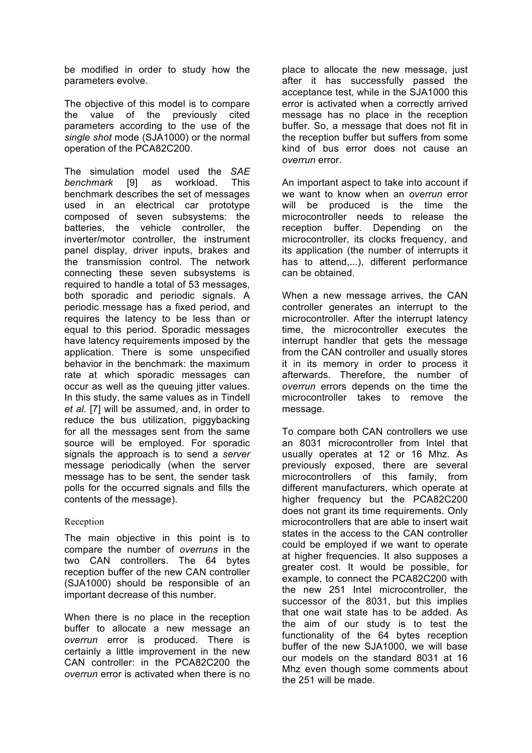be modified in order to study how the parameters evolve.

The objective of this model is to compare the value of the previously cited parameters according to the use of the *single shot* mode (SJA1000) or the normal operation of the PCA82C200.

The simulation model used the *SAE benchmark* [9] as workload. This benchmark describes the set of messages used in an electrical car prototype composed of seven subsystems: the batteries, the vehicle controller, the inverter/motor controller, the instrument panel display, driver inputs, brakes and the transmission control. The network connecting these seven subsystems is required to handle a total of 53 messages, both sporadic and periodic signals. A periodic message has a fixed period, and requires the latency to be less than or equal to this period. Sporadic messages have latency requirements imposed by the application. There is some unspecified behavior in the benchmark: the maximum rate at which sporadic messages can occur as well as the queuing jitter values. In this study, the same values as in Tindell *et al.* [7] will be assumed, and, in order to reduce the bus utilization, piggybacking for all the messages sent from the same source will be employed. For sporadic signals the approach is to send a *server* message periodically (when the server message has to be sent, the sender task polls for the occurred signals and fills the contents of the message).

# Reception

The main objective in this point is to compare the number of *overruns* in the two CAN controllers. The 64 bytes reception buffer of the new CAN controller (SJA1000) should be responsible of an important decrease of this number.

When there is no place in the reception buffer to allocate a new message an *overrun* error is produced. There is certainly a little improvement in the new CAN controller: in the PCA82C200 the *overrun* error is activated when there is no

place to allocate the new message, just after it has successfully passed the acceptance test, while in the SJA1000 this error is activated when a correctly arrived message has no place in the reception buffer. So, a message that does not fit in the reception buffer but suffers from some kind of bus error does not cause an *overrun* error.

An important aspect to take into account if we want to know when an *overrun* error will be produced is the time the microcontroller needs to release the reception buffer. Depending on the microcontroller, its clocks frequency, and its application (the number of interrupts it has to attend,...), different performance can be obtained.

When a new message arrives, the CAN controller generates an interrupt to the microcontroller. After the interrupt latency time, the microcontroller executes the interrupt handler that gets the message from the CAN controller and usually stores it in its memory in order to process it afterwards. Therefore, the number of *overrun* errors depends on the time the microcontroller takes to remove the message.

To compare both CAN controllers we use an 8031 microcontroller from Intel that usually operates at 12 or 16 Mhz. As previously exposed, there are several microcontrollers of this family, from different manufacturers, which operate at higher frequency but the PCA82C200 does not grant its time requirements. Only microcontrollers that are able to insert wait states in the access to the CAN controller could be employed if we want to operate at higher frequencies. It also supposes a greater cost. It would be possible, for example, to connect the PCA82C200 with the new 251 Intel microcontroller, the successor of the 8031, but this implies that one wait state has to be added. As the aim of our study is to test the functionality of the 64 bytes reception buffer of the new SJA1000, we will base our models on the standard 8031 at 16 Mhz even though some comments about the 251 will be made.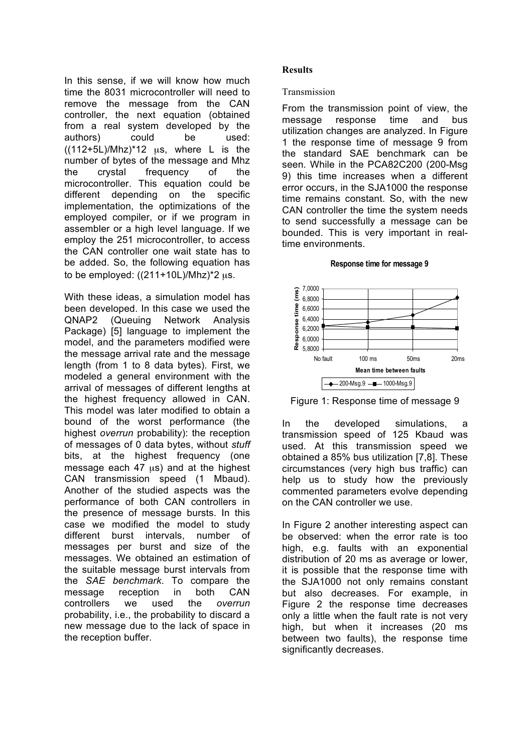In this sense, if we will know how much time the 8031 microcontroller will need to remove the message from the CAN controller, the next equation (obtained from a real system developed by the authors) could be used:  $((112+5L)/Mhz)^*12$  us, where L is the number of bytes of the message and Mhz the crystal frequency of the microcontroller. This equation could be different depending on the specific implementation, the optimizations of the employed compiler, or if we program in assembler or a high level language. If we employ the 251 microcontroller, to access the CAN controller one wait state has to be added. So, the following equation has to be employed:  $((211+10L)/Mhz)^*2 \mu s$ .

With these ideas, a simulation model has been developed. In this case we used the QNAP2 (Queuing Network Analysis Package) [5] language to implement the model, and the parameters modified were the message arrival rate and the message length (from 1 to 8 data bytes). First, we modeled a general environment with the arrival of messages of different lengths at the highest frequency allowed in CAN. This model was later modified to obtain a bound of the worst performance (the highest *overrun* probability): the reception of messages of 0 data bytes, without *stuff* bits, at the highest frequency (one message each  $47 \mu s$ ) and at the highest CAN transmission speed (1 Mbaud). Another of the studied aspects was the performance of both CAN controllers in the presence of message bursts. In this case we modified the model to study different burst intervals, number of messages per burst and size of the messages. We obtained an estimation of the suitable message burst intervals from the *SAE benchmark*. To compare the message reception in both CAN controllers we used the *overrun* probability, i.e., the probability to discard a new message due to the lack of space in the reception buffer.

## **Results**

### Transmission

From the transmission point of view, the message response time and bus utilization changes are analyzed. In Figure 1 the response time of message 9 from the standard SAE benchmark can be seen. While in the PCA82C200 (200-Msg 9) this time increases when a different error occurs, in the SJA1000 the response time remains constant. So, with the new CAN controller the time the system needs to send successfully a message can be bounded. This is very important in realtime environments.

#### **Response time for message 9**





In the developed simulations, a transmission speed of 125 Kbaud was used. At this transmission speed we obtained a 85% bus utilization [7,8]. These circumstances (very high bus traffic) can help us to study how the previously commented parameters evolve depending on the CAN controller we use.

In Figure 2 another interesting aspect can be observed: when the error rate is too high, e.g. faults with an exponential distribution of 20 ms as average or lower, it is possible that the response time with the SJA1000 not only remains constant but also decreases. For example, in Figure 2 the response time decreases only a little when the fault rate is not very high, but when it increases (20 ms between two faults), the response time significantly decreases.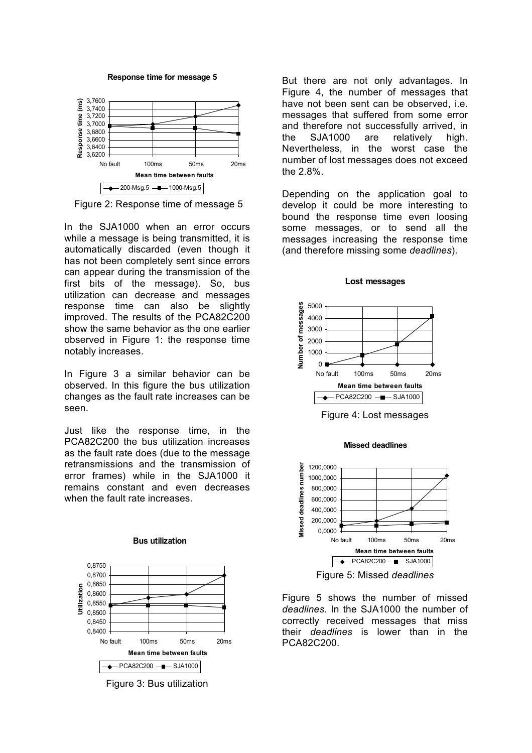

**Response time for message 5**

Figure 2: Response time of message 5

In the SJA1000 when an error occurs while a message is being transmitted, it is automatically discarded (even though it has not been completely sent since errors can appear during the transmission of the first bits of the message). So, bus utilization can decrease and messages response time can also be slightly improved. The results of the PCA82C200 show the same behavior as the one earlier observed in Figure 1: the response time notably increases.

In Figure 3 a similar behavior can be observed. In this figure the bus utilization changes as the fault rate increases can be seen.

Just like the response time, in the PCA82C200 the bus utilization increases as the fault rate does (due to the message retransmissions and the transmission of error frames) while in the SJA1000 it remains constant and even decreases when the fault rate increases.



**Bus utilization**

Figure 3: Bus utilization

But there are not only advantages. In Figure 4, the number of messages that have not been sent can be observed, i.e. messages that suffered from some error and therefore not successfully arrived, in the SJA1000 are relatively high. Nevertheless, in the worst case the number of lost messages does not exceed the 2.8%.

Depending on the application goal to develop it could be more interesting to bound the response time even loosing some messages, or to send all the messages increasing the response time (and therefore missing some *deadlines*).



**Lost messages**

**Missed deadlines**

Figure 4: Lost messages



Figure 5 shows the number of missed *deadlines.* In the SJA1000 the number of correctly received messages that miss their *deadlines* is lower than in the PCA82C200.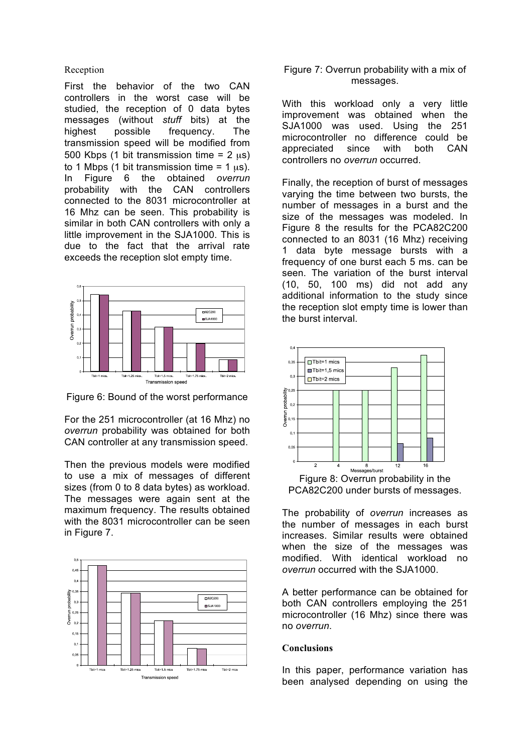#### Reception

First the behavior of the two CAN controllers in the worst case will be studied, the reception of 0 data bytes messages (without *stuff* bits) at the highest possible frequency. The transmission speed will be modified from 500 Kbps (1 bit transmission time =  $2 \mu s$ ) to 1 Mbps (1 bit transmission time =  $1 \text{ }\mu\text{s}$ ). In Figure 6 the obtained *overrun*  probability with the CAN controllers connected to the 8031 microcontroller at 16 Mhz can be seen. This probability is similar in both CAN controllers with only a little improvement in the SJA1000. This is due to the fact that the arrival rate exceeds the reception slot empty time.



Figure 6: Bound of the worst performance

For the 251 microcontroller (at 16 Mhz) no *overrun* probability was obtained for both CAN controller at any transmission speed.

Then the previous models were modified to use a mix of messages of different sizes (from 0 to 8 data bytes) as workload. The messages were again sent at the maximum frequency. The results obtained with the 8031 microcontroller can be seen in Figure 7.



# Figure 7: Overrun probability with a mix of messages.

With this workload only a very little improvement was obtained when the SJA1000 was used. Using the 251 microcontroller no difference could be appreciated since with both CAN controllers no *overrun* occurred.

Finally, the reception of burst of messages varying the time between two bursts, the number of messages in a burst and the size of the messages was modeled. In Figure 8 the results for the PCA82C200 connected to an 8031 (16 Mhz) receiving 1 data byte message bursts with a frequency of one burst each 5 ms. can be seen. The variation of the burst interval (10, 50, 100 ms) did not add any additional information to the study since the reception slot empty time is lower than the burst interval.



PCA82C200 under bursts of messages.

The probability of *overrun* increases as the number of messages in each burst increases. Similar results were obtained when the size of the messages was modified. With identical workload no *overrun* occurred with the SJA1000.

A better performance can be obtained for both CAN controllers employing the 251 microcontroller (16 Mhz) since there was no *overrun*.

### **Conclusions**

In this paper, performance variation has been analysed depending on using the